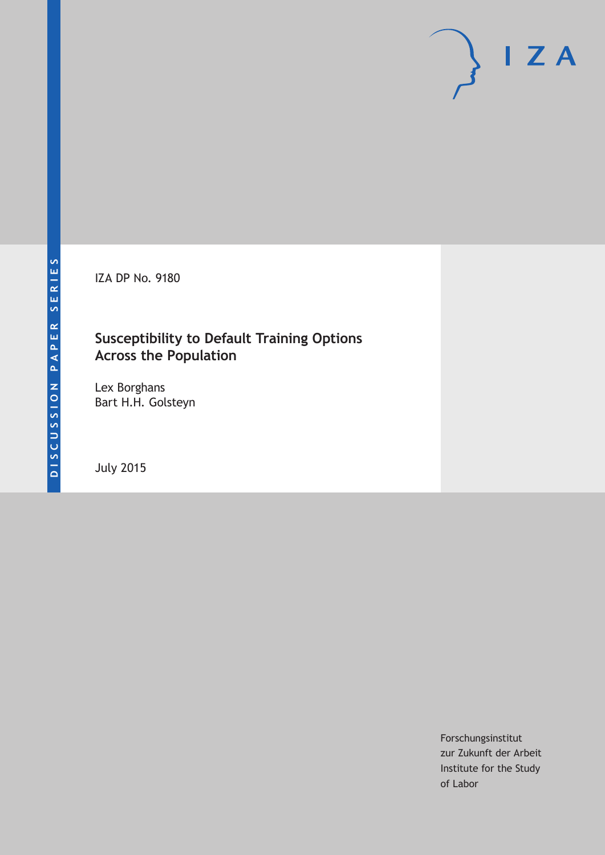IZA DP No. 9180

# **Susceptibility to Default Training Options Across the Population**

Lex Borghans Bart H.H. Golsteyn

July 2015

Forschungsinstitut zur Zukunft der Arbeit Institute for the Study of Labor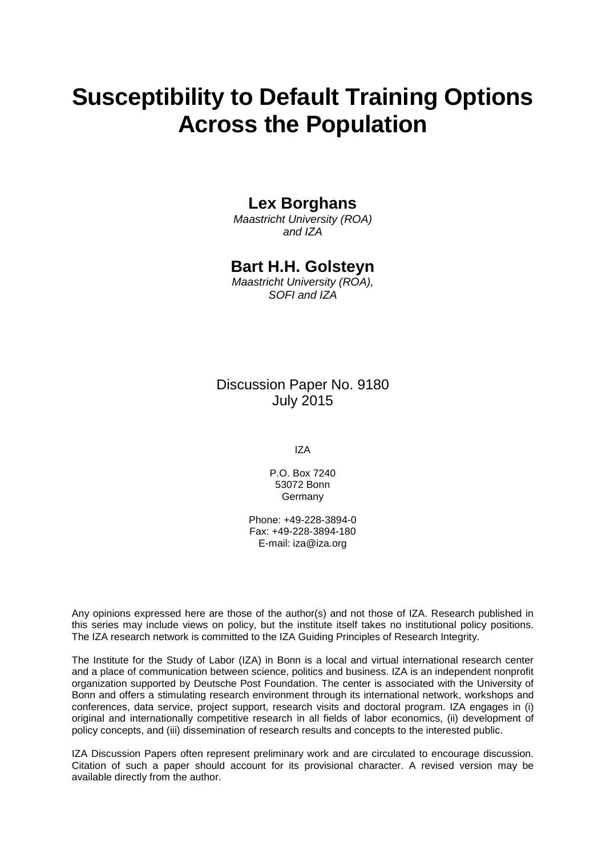# **Susceptibility to Default Training Options Across the Population**

### **Lex Borghans**

*Maastricht University (ROA) and IZA*

### **Bart H.H. Golsteyn**

*Maastricht University (ROA), SOFI and IZA*

Discussion Paper No. 9180 July 2015

IZA

P.O. Box 7240 53072 Bonn Germany

Phone: +49-228-3894-0 Fax: +49-228-3894-180 E-mail: iza@iza.org

Any opinions expressed here are those of the author(s) and not those of IZA. Research published in this series may include views on policy, but the institute itself takes no institutional policy positions. The IZA research network is committed to the IZA Guiding Principles of Research Integrity.

The Institute for the Study of Labor (IZA) in Bonn is a local and virtual international research center and a place of communication between science, politics and business. IZA is an independent nonprofit organization supported by Deutsche Post Foundation. The center is associated with the University of Bonn and offers a stimulating research environment through its international network, workshops and conferences, data service, project support, research visits and doctoral program. IZA engages in (i) original and internationally competitive research in all fields of labor economics, (ii) development of policy concepts, and (iii) dissemination of research results and concepts to the interested public.

<span id="page-1-0"></span>IZA Discussion Papers often represent preliminary work and are circulated to encourage discussion. Citation of such a paper should account for its provisional character. A revised version may be available directly from the author.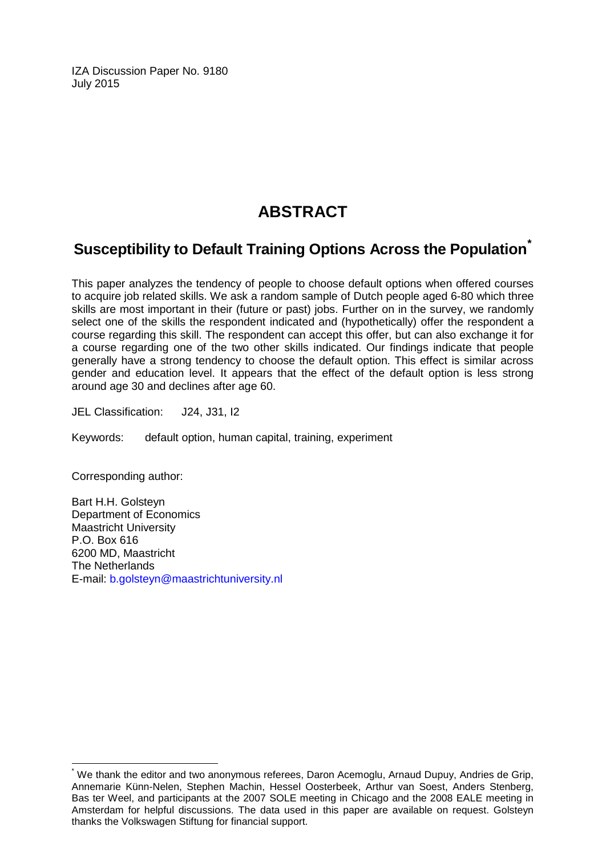IZA Discussion Paper No. 9180 July 2015

# **ABSTRACT**

# **Susceptibility to Default Training Options Across the Population[\\*](#page-1-0)**

This paper analyzes the tendency of people to choose default options when offered courses to acquire job related skills. We ask a random sample of Dutch people aged 6-80 which three skills are most important in their (future or past) jobs. Further on in the survey, we randomly select one of the skills the respondent indicated and (hypothetically) offer the respondent a course regarding this skill. The respondent can accept this offer, but can also exchange it for a course regarding one of the two other skills indicated. Our findings indicate that people generally have a strong tendency to choose the default option. This effect is similar across gender and education level. It appears that the effect of the default option is less strong around age 30 and declines after age 60.

JEL Classification: J24, J31, I2

Keywords: default option, human capital, training, experiment

Corresponding author:

Bart H.H. Golsteyn Department of Economics Maastricht University P.O. Box 616 6200 MD, Maastricht The Netherlands E-mail: [b.golsteyn@maastrichtuniversity.nl](mailto:b.golsteyn@maastrichtuniversity.nl)

We thank the editor and two anonymous referees, Daron Acemoglu, Arnaud Dupuy, Andries de Grip, Annemarie Künn-Nelen, Stephen Machin, Hessel Oosterbeek, Arthur van Soest, Anders Stenberg, Bas ter Weel, and participants at the 2007 SOLE meeting in Chicago and the 2008 EALE meeting in Amsterdam for helpful discussions. The data used in this paper are available on request. Golsteyn thanks the Volkswagen Stiftung for financial support.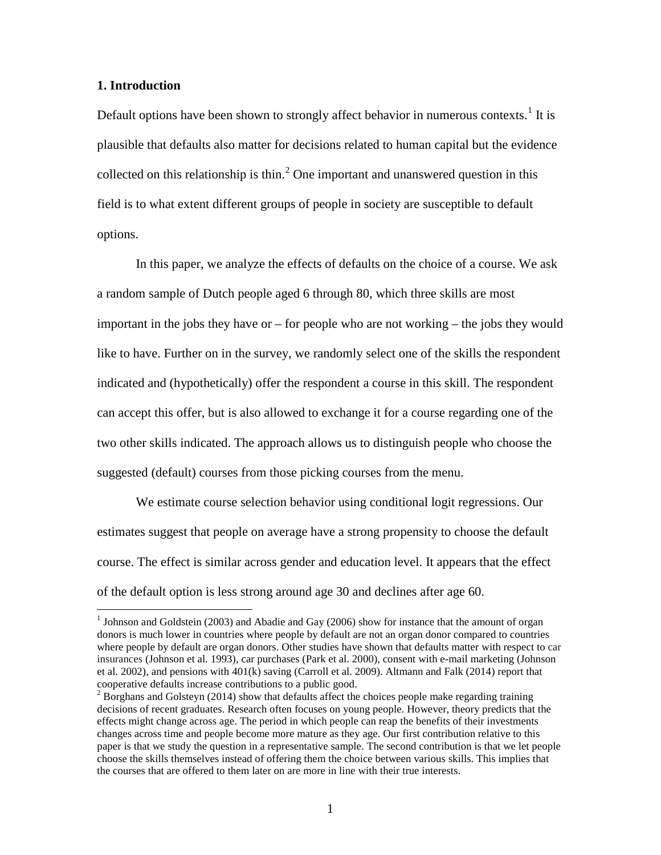#### **1. Introduction**

Default options have been shown to strongly affect behavior in numerous contexts.<sup>1</sup> It is plausible that defaults also matter for decisions related to human capital but the evidence collected on this relationship is thin.<sup>[2](#page-3-0)</sup> One important and unanswered question in this field is to what extent different groups of people in society are susceptible to default options.

In this paper, we analyze the effects of defaults on the choice of a course. We ask a random sample of Dutch people aged 6 through 80, which three skills are most important in the jobs they have or – for people who are not working – the jobs they would like to have. Further on in the survey, we randomly select one of the skills the respondent indicated and (hypothetically) offer the respondent a course in this skill. The respondent can accept this offer, but is also allowed to exchange it for a course regarding one of the two other skills indicated. The approach allows us to distinguish people who choose the suggested (default) courses from those picking courses from the menu.

We estimate course selection behavior using conditional logit regressions. Our estimates suggest that people on average have a strong propensity to choose the default course. The effect is similar across gender and education level. It appears that the effect of the default option is less strong around age 30 and declines after age 60.

<sup>&</sup>lt;sup>1</sup> Johnson and Goldstein (2003) and Abadie and Gay (2006) show for instance that the amount of organ donors is much lower in countries where people by default are not an organ donor compared to countries where people by default are organ donors. Other studies have shown that defaults matter with respect to car insurances (Johnson et al. 1993), car purchases (Park et al. 2000), consent with e-mail marketing (Johnson et al. 2002), and pensions with 401(k) saving (Carroll et al. 2009). Altmann and Falk (2014) report that cooperative defaults increase contributions to a public good.

<span id="page-3-1"></span><span id="page-3-0"></span><sup>&</sup>lt;sup>2</sup> Borghans and Golsteyn (2014) show that defaults affect the choices people make regarding training decisions of recent graduates. Research often focuses on young people. However, theory predicts that the effects might change across age. The period in which people can reap the benefits of their investments changes across time and people become more mature as they age. Our first contribution relative to this paper is that we study the question in a representative sample. The second contribution is that we let people choose the skills themselves instead of offering them the choice between various skills. This implies that the courses that are offered to them later on are more in line with their true interests.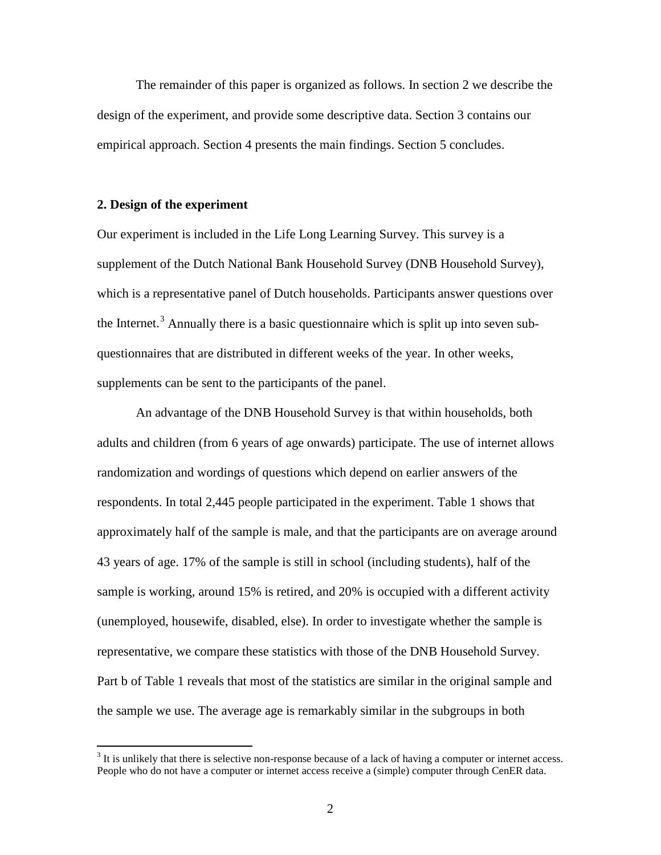The remainder of this paper is organized as follows. In section 2 we describe the design of the experiment, and provide some descriptive data. Section 3 contains our empirical approach. Section 4 presents the main findings. Section 5 concludes.

#### **2. Design of the experiment**

Our experiment is included in the Life Long Learning Survey. This survey is a supplement of the Dutch National Bank Household Survey (DNB Household Survey), which is a representative panel of Dutch households. Participants answer questions over the Internet.<sup>[3](#page-3-1)</sup> Annually there is a basic questionnaire which is split up into seven subquestionnaires that are distributed in different weeks of the year. In other weeks, supplements can be sent to the participants of the panel.

An advantage of the DNB Household Survey is that within households, both adults and children (from 6 years of age onwards) participate. The use of internet allows randomization and wordings of questions which depend on earlier answers of the respondents. In total 2,445 people participated in the experiment. Table 1 shows that approximately half of the sample is male, and that the participants are on average around 43 years of age. 17% of the sample is still in school (including students), half of the sample is working, around 15% is retired, and 20% is occupied with a different activity (unemployed, housewife, disabled, else). In order to investigate whether the sample is representative, we compare these statistics with those of the DNB Household Survey. Part b of Table 1 reveals that most of the statistics are similar in the original sample and the sample we use. The average age is remarkably similar in the subgroups in both

<span id="page-4-0"></span><sup>&</sup>lt;sup>3</sup> It is unlikely that there is selective non-response because of a lack of having a computer or internet access. People who do not have a computer or internet access receive a (simple) computer through CenER data.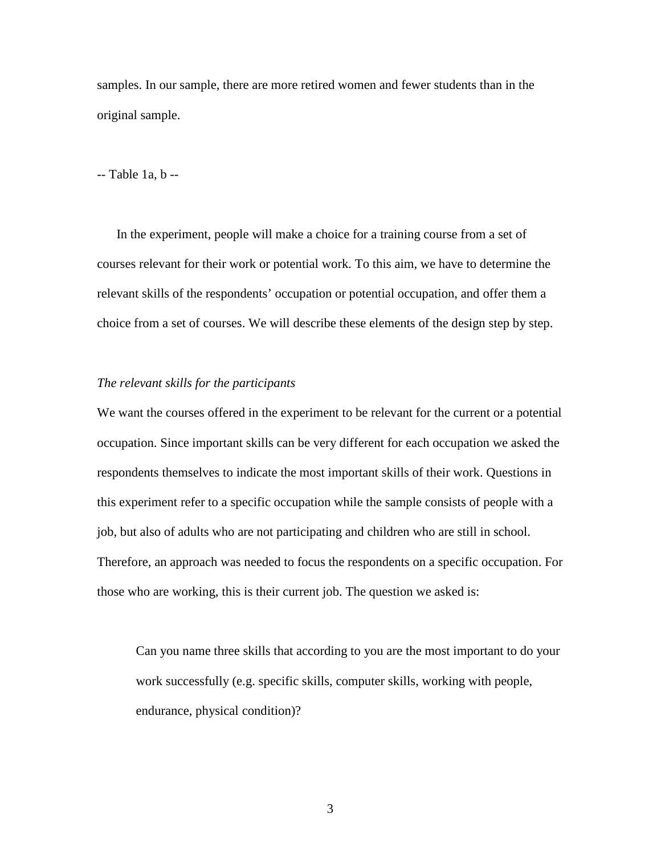samples. In our sample, there are more retired women and fewer students than in the original sample.

-- Table 1a, b --

In the experiment, people will make a choice for a training course from a set of courses relevant for their work or potential work. To this aim, we have to determine the relevant skills of the respondents' occupation or potential occupation, and offer them a choice from a set of courses. We will describe these elements of the design step by step.

#### *The relevant skills for the participants*

We want the courses offered in the experiment to be relevant for the current or a potential occupation. Since important skills can be very different for each occupation we asked the respondents themselves to indicate the most important skills of their work. Questions in this experiment refer to a specific occupation while the sample consists of people with a job, but also of adults who are not participating and children who are still in school. Therefore, an approach was needed to focus the respondents on a specific occupation. For those who are working, this is their current job. The question we asked is:

Can you name three skills that according to you are the most important to do your work successfully (e.g. specific skills, computer skills, working with people, endurance, physical condition)?

3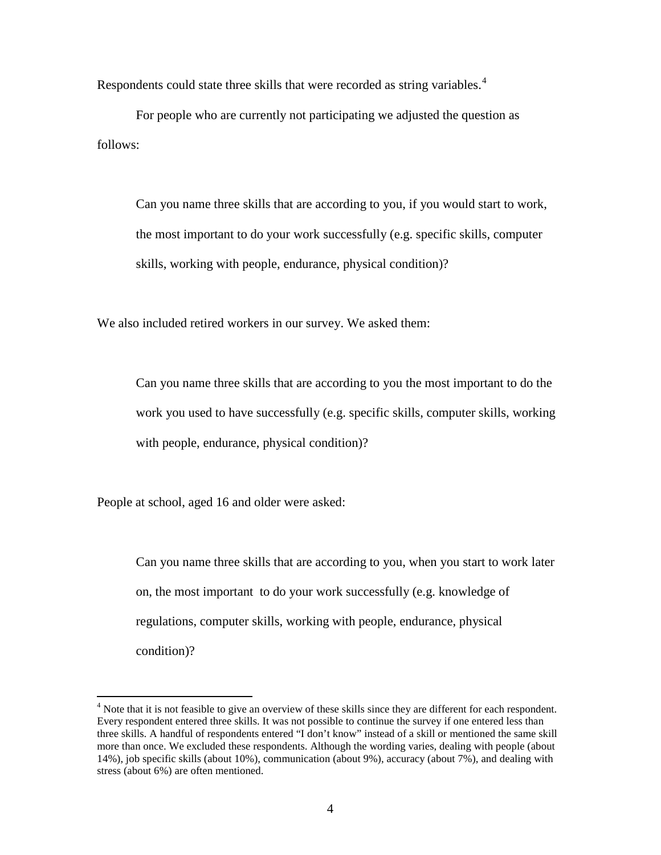Respondents could state three skills that were recorded as string variables.<sup>[4](#page-4-0)</sup>

For people who are currently not participating we adjusted the question as follows:

Can you name three skills that are according to you, if you would start to work, the most important to do your work successfully (e.g. specific skills, computer skills, working with people, endurance, physical condition)?

We also included retired workers in our survey. We asked them:

Can you name three skills that are according to you the most important to do the work you used to have successfully (e.g. specific skills, computer skills, working with people, endurance, physical condition)?

People at school, aged 16 and older were asked:

Can you name three skills that are according to you, when you start to work later on, the most important to do your work successfully (e.g. knowledge of regulations, computer skills, working with people, endurance, physical condition)?

<span id="page-6-0"></span> $<sup>4</sup>$  Note that it is not feasible to give an overview of these skills since they are different for each respondent.</sup> Every respondent entered three skills. It was not possible to continue the survey if one entered less than three skills. A handful of respondents entered "I don't know" instead of a skill or mentioned the same skill more than once. We excluded these respondents. Although the wording varies, dealing with people (about 14%), job specific skills (about 10%), communication (about 9%), accuracy (about 7%), and dealing with stress (about 6%) are often mentioned.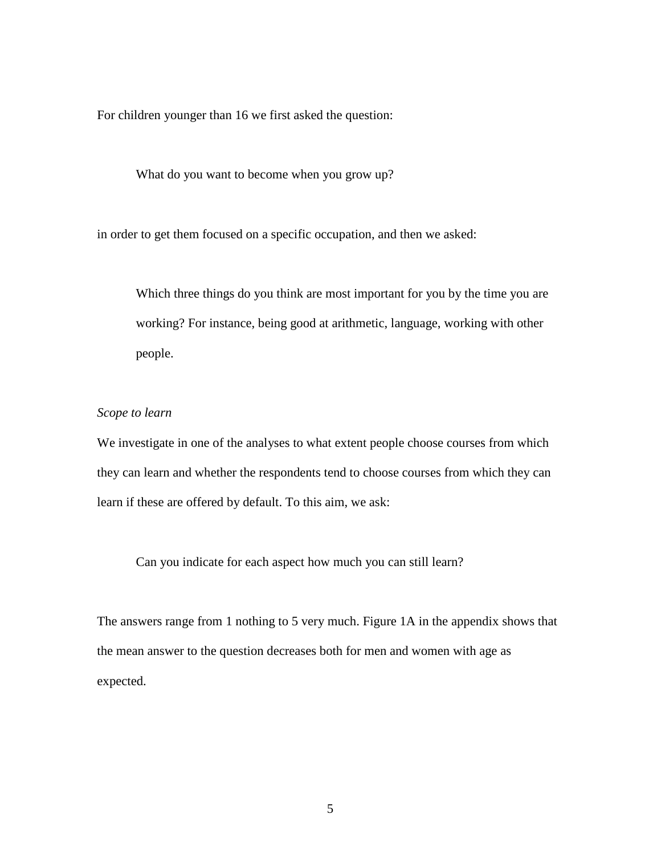For children younger than 16 we first asked the question:

What do you want to become when you grow up?

in order to get them focused on a specific occupation, and then we asked:

Which three things do you think are most important for you by the time you are working? For instance, being good at arithmetic, language, working with other people.

#### *Scope to learn*

We investigate in one of the analyses to what extent people choose courses from which they can learn and whether the respondents tend to choose courses from which they can learn if these are offered by default. To this aim, we ask:

Can you indicate for each aspect how much you can still learn?

The answers range from 1 nothing to 5 very much. Figure 1A in the appendix shows that the mean answer to the question decreases both for men and women with age as expected.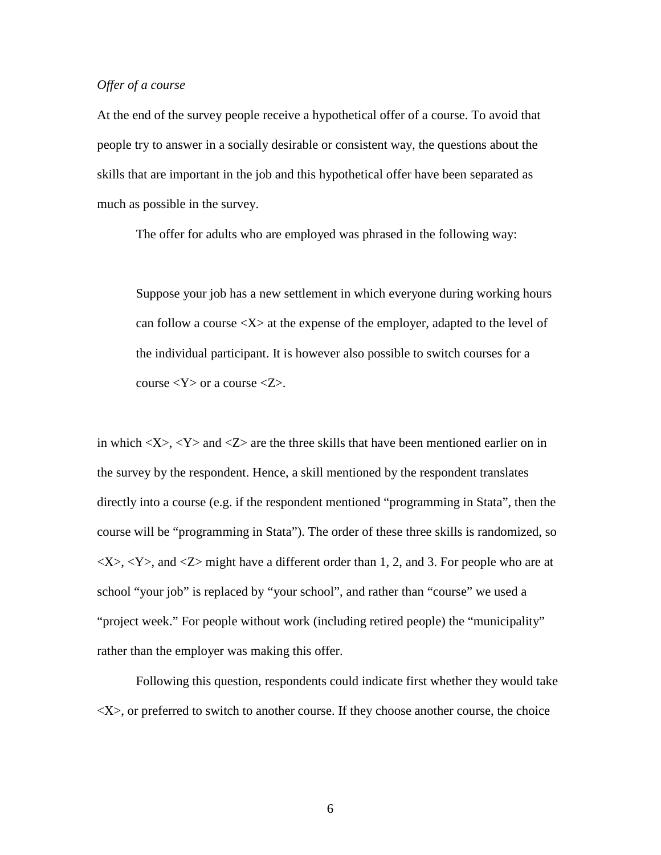#### *Offer of a course*

At the end of the survey people receive a hypothetical offer of a course. To avoid that people try to answer in a socially desirable or consistent way, the questions about the skills that are important in the job and this hypothetical offer have been separated as much as possible in the survey.

The offer for adults who are employed was phrased in the following way:

Suppose your job has a new settlement in which everyone during working hours can follow a course  $\langle X \rangle$  at the expense of the employer, adapted to the level of the individual participant. It is however also possible to switch courses for a course  $<\!\!Y\!\!>$  or a course  $<\!\!Z\!\!>$ .

in which  $\langle X \rangle$ ,  $\langle Y \rangle$  and  $\langle Z \rangle$  are the three skills that have been mentioned earlier on in the survey by the respondent. Hence, a skill mentioned by the respondent translates directly into a course (e.g. if the respondent mentioned "programming in Stata", then the course will be "programming in Stata"). The order of these three skills is randomized, so  $\langle X \rangle$ ,  $\langle Y \rangle$ , and  $\langle Z \rangle$  might have a different order than 1, 2, and 3. For people who are at school "your job" is replaced by "your school", and rather than "course" we used a "project week." For people without work (including retired people) the "municipality" rather than the employer was making this offer.

Following this question, respondents could indicate first whether they would take  $\langle X \rangle$ , or preferred to switch to another course. If they choose another course, the choice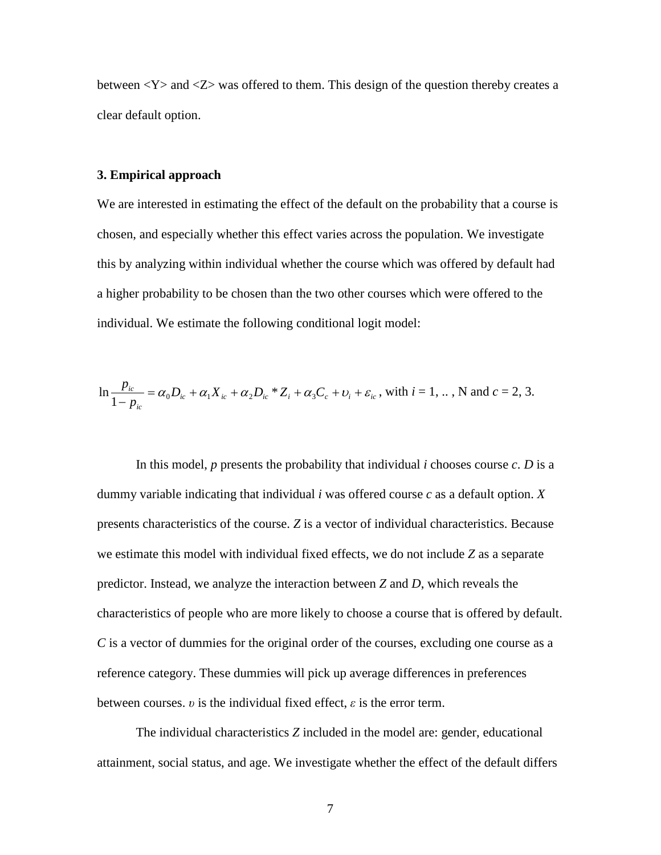between  $<\mathbf{Y}>$  and  $<\mathbf{Z}>$  was offered to them. This design of the question thereby creates a clear default option.

#### **3. Empirical approach**

We are interested in estimating the effect of the default on the probability that a course is chosen, and especially whether this effect varies across the population. We investigate this by analyzing within individual whether the course which was offered by default had a higher probability to be chosen than the two other courses which were offered to the individual. We estimate the following conditional logit model:

$$
\ln \frac{p_{ic}}{1-p_{ic}} = \alpha_0 D_{ic} + \alpha_1 X_{ic} + \alpha_2 D_{ic} * Z_i + \alpha_3 C_c + \nu_i + \varepsilon_{ic}
$$
, with  $i = 1, ..., N$  and  $c = 2, 3$ .

In this model,  $p$  presents the probability that individual  $i$  chooses course  $c$ .  $D$  is a dummy variable indicating that individual *i* was offered course *c* as a default option. *X* presents characteristics of the course. *Z* is a vector of individual characteristics. Because we estimate this model with individual fixed effects, we do not include *Z* as a separate predictor. Instead, we analyze the interaction between *Z* and *D*, which reveals the characteristics of people who are more likely to choose a course that is offered by default. *C* is a vector of dummies for the original order of the courses, excluding one course as a reference category. These dummies will pick up average differences in preferences between courses. *υ* is the individual fixed effect, *ε* is the error term.

The individual characteristics *Z* included in the model are: gender, educational attainment, social status, and age. We investigate whether the effect of the default differs

7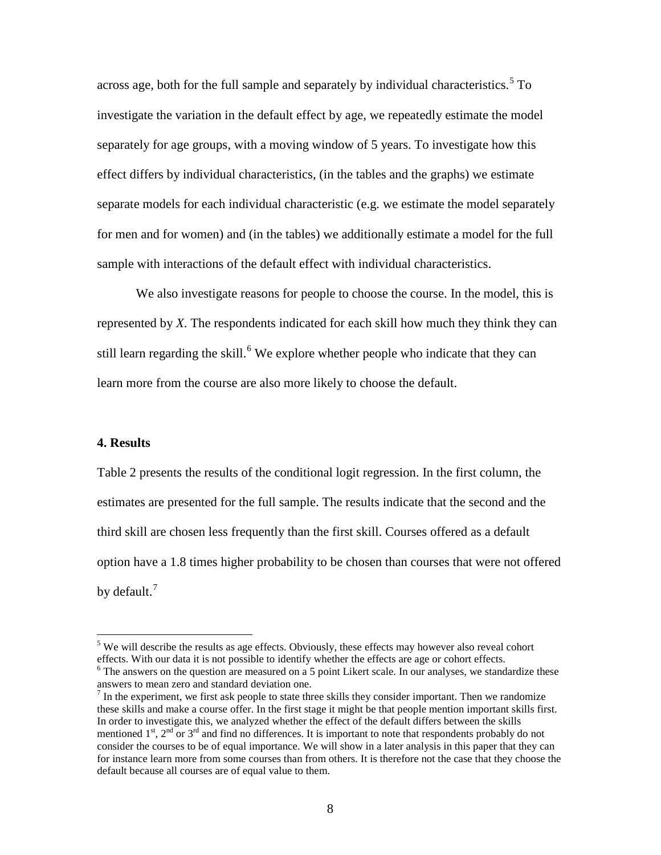across age, both for the full sample and separately by individual characteristics. [5](#page-6-0) To investigate the variation in the default effect by age, we repeatedly estimate the model separately for age groups, with a moving window of 5 years. To investigate how this effect differs by individual characteristics, (in the tables and the graphs) we estimate separate models for each individual characteristic (e.g. we estimate the model separately for men and for women) and (in the tables) we additionally estimate a model for the full sample with interactions of the default effect with individual characteristics.

We also investigate reasons for people to choose the course. In the model, this is represented by *X*. The respondents indicated for each skill how much they think they can still learn regarding the skill.<sup>[6](#page-10-0)</sup> We explore whether people who indicate that they can learn more from the course are also more likely to choose the default.

#### **4. Results**

Table 2 presents the results of the conditional logit regression. In the first column, the estimates are presented for the full sample. The results indicate that the second and the third skill are chosen less frequently than the first skill. Courses offered as a default option have a 1.8 times higher probability to be chosen than courses that were not offered by default.<sup>[7](#page-10-1)</sup>

 $5$  We will describe the results as age effects. Obviously, these effects may however also reveal cohort effects. With our data it is not possible to identify whether the effects are age or cohort effects.  $6$  The answers on the question are measured on a 5 point Likert scale. In our analyses, we standardize these

<span id="page-10-0"></span>answers to mean zero and standard deviation one.

<span id="page-10-2"></span><span id="page-10-1"></span> $<sup>7</sup>$  In the experiment, we first ask people to state three skills they consider important. Then we randomize</sup> these skills and make a course offer. In the first stage it might be that people mention important skills first. In order to investigate this, we analyzed whether the effect of the default differs between the skills mentioned  $1^{st}$ ,  $2^{nd}$  or  $3^{rd}$  and find no differences. It is important to note that respondents probably do not consider the courses to be of equal importance. We will show in a later analysis in this paper that they can for instance learn more from some courses than from others. It is therefore not the case that they choose the default because all courses are of equal value to them.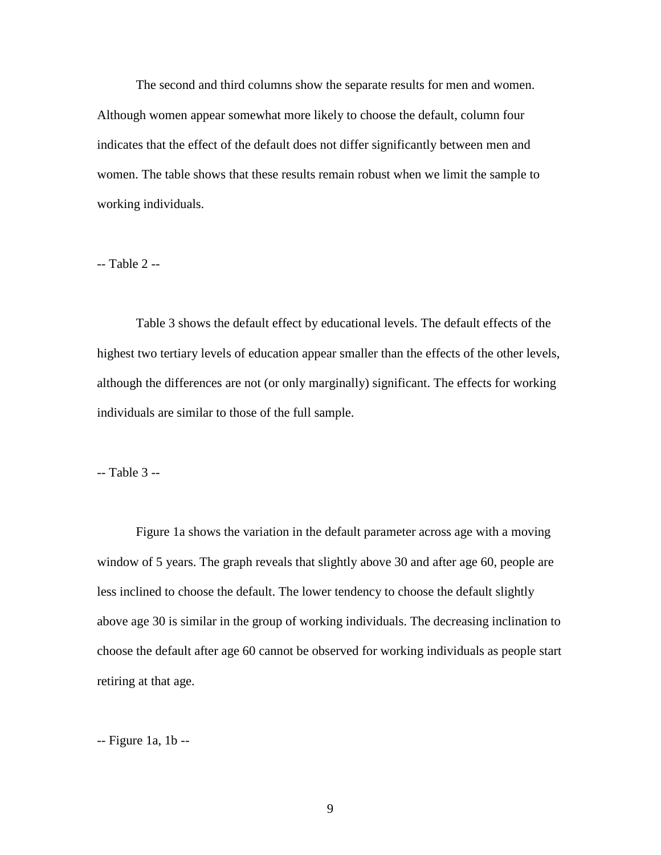The second and third columns show the separate results for men and women. Although women appear somewhat more likely to choose the default, column four indicates that the effect of the default does not differ significantly between men and women. The table shows that these results remain robust when we limit the sample to working individuals.

-- Table 2 --

Table 3 shows the default effect by educational levels. The default effects of the highest two tertiary levels of education appear smaller than the effects of the other levels, although the differences are not (or only marginally) significant. The effects for working individuals are similar to those of the full sample.

-- Table 3 --

Figure 1a shows the variation in the default parameter across age with a moving window of 5 years. The graph reveals that slightly above 30 and after age 60, people are less inclined to choose the default. The lower tendency to choose the default slightly above age 30 is similar in the group of working individuals. The decreasing inclination to choose the default after age 60 cannot be observed for working individuals as people start retiring at that age.

-- Figure 1a, 1b --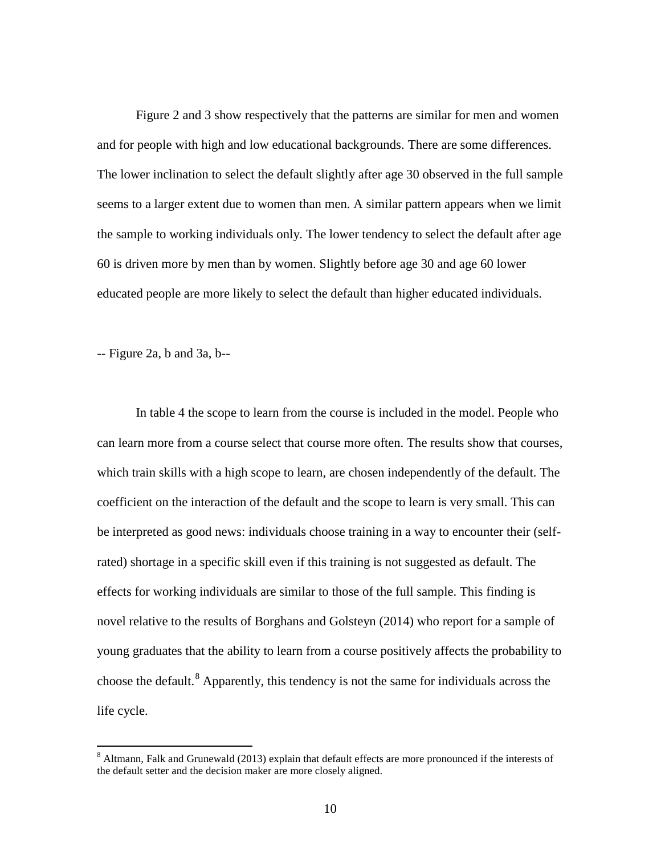Figure 2 and 3 show respectively that the patterns are similar for men and women and for people with high and low educational backgrounds. There are some differences. The lower inclination to select the default slightly after age 30 observed in the full sample seems to a larger extent due to women than men. A similar pattern appears when we limit the sample to working individuals only. The lower tendency to select the default after age 60 is driven more by men than by women. Slightly before age 30 and age 60 lower educated people are more likely to select the default than higher educated individuals.

-- Figure 2a, b and 3a, b--

In table 4 the scope to learn from the course is included in the model. People who can learn more from a course select that course more often. The results show that courses, which train skills with a high scope to learn, are chosen independently of the default. The coefficient on the interaction of the default and the scope to learn is very small. This can be interpreted as good news: individuals choose training in a way to encounter their (selfrated) shortage in a specific skill even if this training is not suggested as default. The effects for working individuals are similar to those of the full sample. This finding is novel relative to the results of Borghans and Golsteyn (2014) who report for a sample of young graduates that the ability to learn from a course positively affects the probability to choose the default. [8](#page-10-2) Apparently, this tendency is not the same for individuals across the life cycle.

<span id="page-12-0"></span><sup>&</sup>lt;sup>8</sup> Altmann, Falk and Grunewald (2013) explain that default effects are more pronounced if the interests of the default setter and the decision maker are more closely aligned.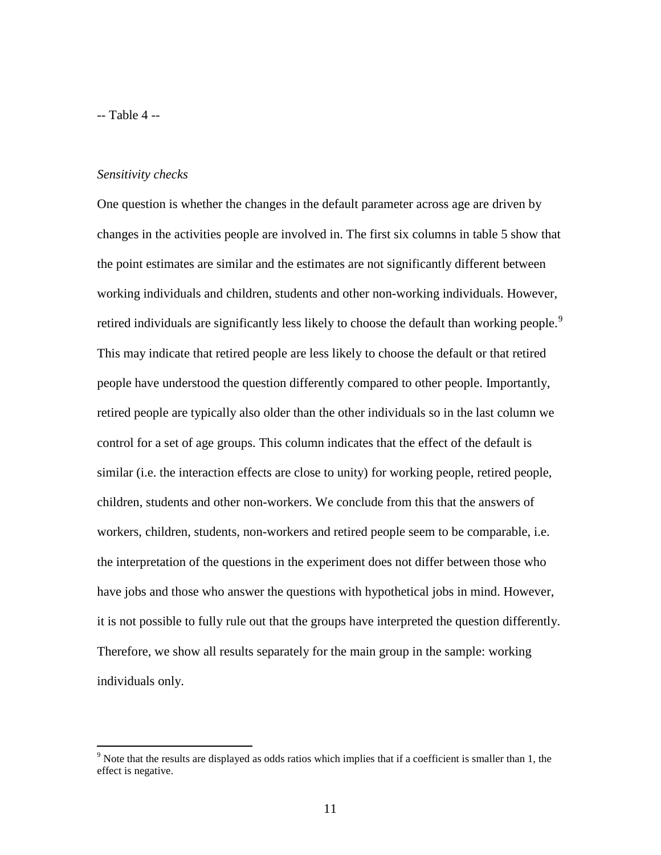-- Table 4 --

#### *Sensitivity checks*

One question is whether the changes in the default parameter across age are driven by changes in the activities people are involved in. The first six columns in table 5 show that the point estimates are similar and the estimates are not significantly different between working individuals and children, students and other non-working individuals. However, retired individuals are significantly less likely to choose the default than working people.<sup>[9](#page-12-0)</sup> This may indicate that retired people are less likely to choose the default or that retired people have understood the question differently compared to other people. Importantly, retired people are typically also older than the other individuals so in the last column we control for a set of age groups. This column indicates that the effect of the default is similar (i.e. the interaction effects are close to unity) for working people, retired people, children, students and other non-workers. We conclude from this that the answers of workers, children, students, non-workers and retired people seem to be comparable, i.e. the interpretation of the questions in the experiment does not differ between those who have jobs and those who answer the questions with hypothetical jobs in mind. However, it is not possible to fully rule out that the groups have interpreted the question differently. Therefore, we show all results separately for the main group in the sample: working individuals only.

<span id="page-13-0"></span><sup>&</sup>lt;sup>9</sup> Note that the results are displayed as odds ratios which implies that if a coefficient is smaller than 1, the effect is negative.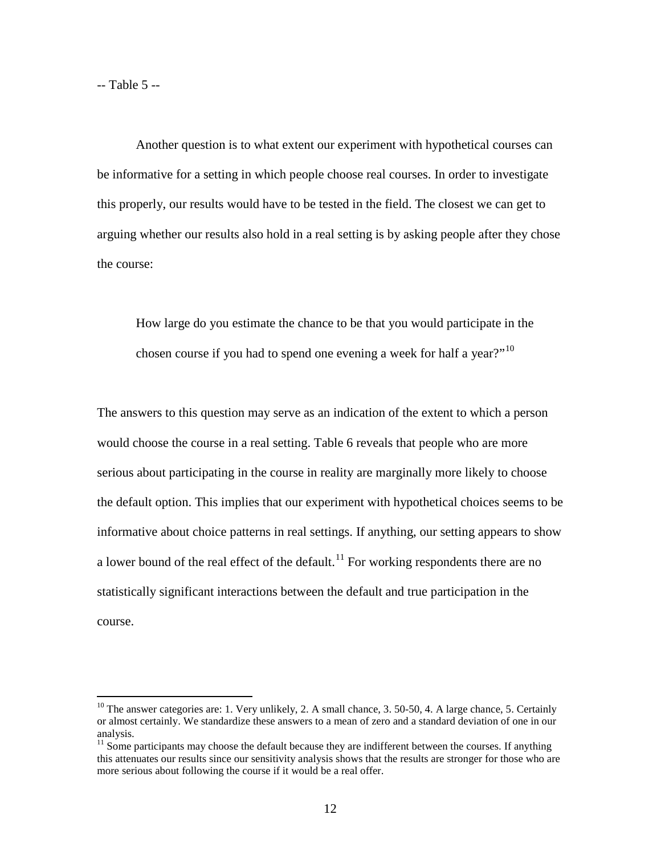-- Table 5 --

Another question is to what extent our experiment with hypothetical courses can be informative for a setting in which people choose real courses. In order to investigate this properly, our results would have to be tested in the field. The closest we can get to arguing whether our results also hold in a real setting is by asking people after they chose the course:

How large do you estimate the chance to be that you would participate in the chosen course if you had to spend one evening a week for half a year?"<sup>[10](#page-13-0)</sup>

The answers to this question may serve as an indication of the extent to which a person would choose the course in a real setting. Table 6 reveals that people who are more serious about participating in the course in reality are marginally more likely to choose the default option. This implies that our experiment with hypothetical choices seems to be informative about choice patterns in real settings. If anything, our setting appears to show a lower bound of the real effect of the default.<sup>[11](#page-14-0)</sup> For working respondents there are no statistically significant interactions between the default and true participation in the course.

<sup>&</sup>lt;sup>10</sup> The answer categories are: 1. Very unlikely, 2. A small chance, 3. 50-50, 4. A large chance, 5. Certainly or almost certainly. We standardize these answers to a mean of zero and a standard deviation of one in our analysis.

<span id="page-14-0"></span> $11$  Some participants may choose the default because they are indifferent between the courses. If anything this attenuates our results since our sensitivity analysis shows that the results are stronger for those who are more serious about following the course if it would be a real offer.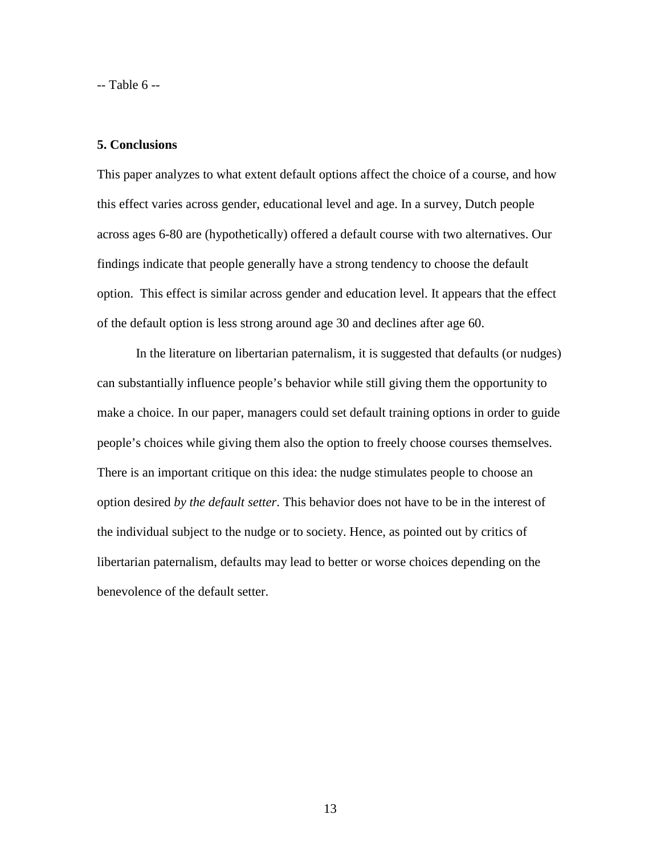-- Table 6 --

#### **5. Conclusions**

This paper analyzes to what extent default options affect the choice of a course, and how this effect varies across gender, educational level and age. In a survey, Dutch people across ages 6-80 are (hypothetically) offered a default course with two alternatives. Our findings indicate that people generally have a strong tendency to choose the default option. This effect is similar across gender and education level. It appears that the effect of the default option is less strong around age 30 and declines after age 60.

In the literature on libertarian paternalism, it is suggested that defaults (or nudges) can substantially influence people's behavior while still giving them the opportunity to make a choice. In our paper, managers could set default training options in order to guide people's choices while giving them also the option to freely choose courses themselves. There is an important critique on this idea: the nudge stimulates people to choose an option desired *by the default setter*. This behavior does not have to be in the interest of the individual subject to the nudge or to society. Hence, as pointed out by critics of libertarian paternalism, defaults may lead to better or worse choices depending on the benevolence of the default setter.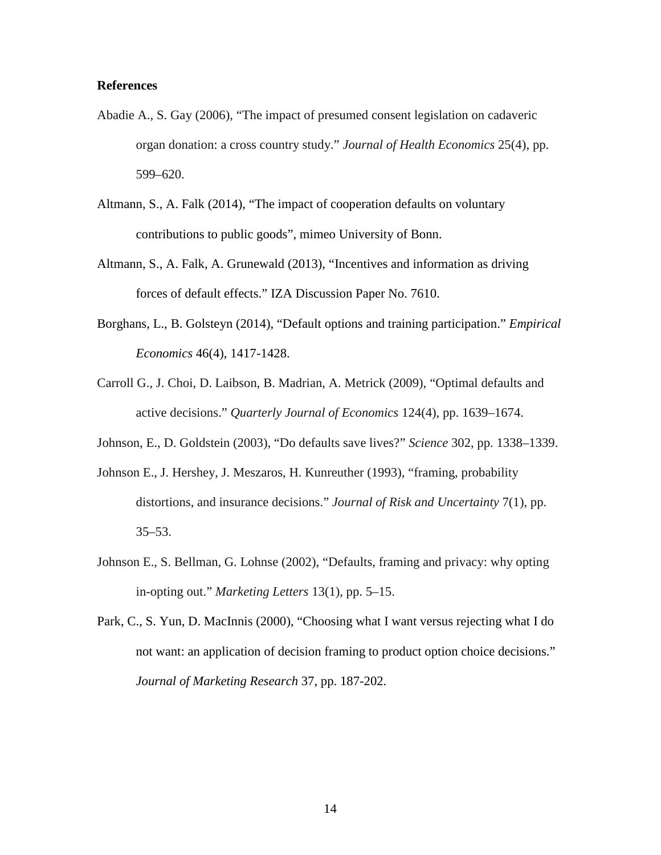#### **References**

- Abadie A., S. Gay (2006), "The impact of presumed consent legislation on cadaveric organ donation: a cross country study." *Journal of Health Economics* 25(4), pp. 599–620.
- Altmann, S., A. Falk (2014), ["The impact of cooperation defaults on voluntary](https://sites.google.com/site/steffenaltmann/home/documents/AF_CooperationDefaults.pdf?attredirects=0)  [contributions to public goods"](https://sites.google.com/site/steffenaltmann/home/documents/AF_CooperationDefaults.pdf?attredirects=0), mimeo University of Bonn.
- Altmann, S., A. Falk, A. Grunewald (2013), ["Incentives and information as driving](http://ftp.iza.org/dp7610.pdf)  [forces of default effects.](http://ftp.iza.org/dp7610.pdf)" IZA Discussion Paper No. 7610.
- Borghans, L., B. Golsteyn (2014), "Default options and training participation." *Empirical Economics* 46(4), 1417-1428.
- Carroll G., J. Choi, D. Laibson, B. Madrian, A. Metrick (2009), "Optimal defaults and active decisions." *Quarterly Journal of Economics* 124(4), pp. 1639–1674.
- Johnson, E., D. Goldstein (2003), "Do defaults save lives?" *Science* 302, pp. 1338–1339.
- Johnson E., J. Hershey, J. Meszaros, H. Kunreuther (1993), "framing, probability distortions, and insurance decisions." *Journal of Risk and Uncertainty* 7(1), pp.  $35 - 53$ .
- Johnson E., S. Bellman, G. Lohnse (2002), "Defaults, framing and privacy: why opting in-opting out." *Marketing Letters* 13(1), pp. 5–15.
- Park, C., S. Yun, D. MacInnis (2000), "Choosing what I want versus rejecting what I do not want: an application of decision framing to product option choice decisions." *Journal of Marketing Research* 37, pp. 187-202.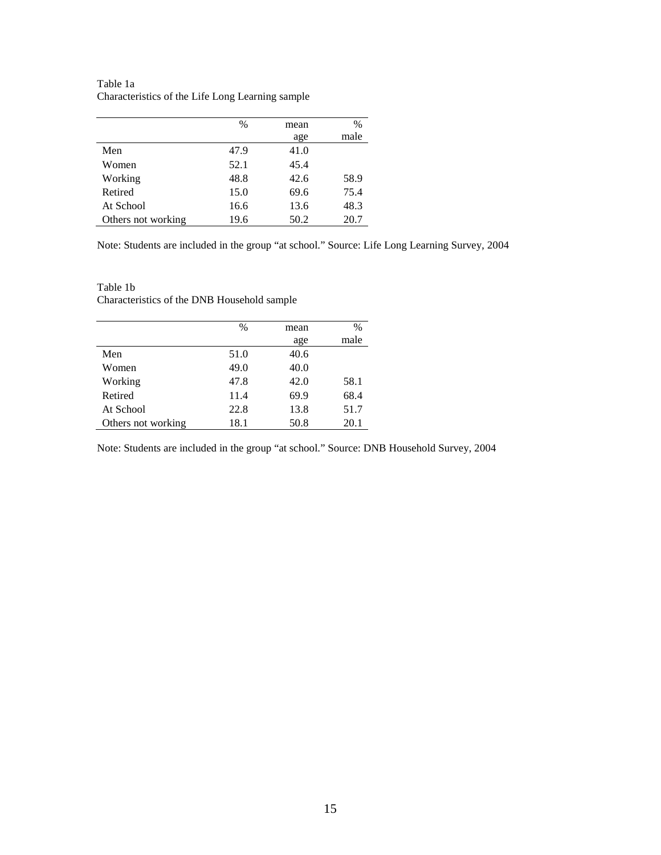|                    | $\%$ | mean | $\frac{0}{0}$ |
|--------------------|------|------|---------------|
|                    |      | age  | male          |
| Men                | 47.9 | 41.0 |               |
| Women              | 52.1 | 45.4 |               |
| Working            | 48.8 | 42.6 | 58.9          |
| Retired            | 15.0 | 69.6 | 75.4          |
| At School          | 16.6 | 13.6 | 48.3          |
| Others not working | 19.6 | 50.2 | 20.7          |

Table 1a Characteristics of the Life Long Learning sample

Note: Students are included in the group "at school." Source: Life Long Learning Survey, 2004

|                    | $\%$ | mean | $\%$ |
|--------------------|------|------|------|
|                    |      | age  | male |
| Men                | 51.0 | 40.6 |      |
| Women              | 49.0 | 40.0 |      |
| Working            | 47.8 | 42.0 | 58.1 |
| Retired            | 11.4 | 69.9 | 68.4 |
| At School          | 22.8 | 13.8 | 51.7 |
| Others not working | 18.1 | 50.8 | 20.1 |

Table 1b Characteristics of the DNB Household sample

Note: Students are included in the group "at school." Source: DNB Household Survey, 2004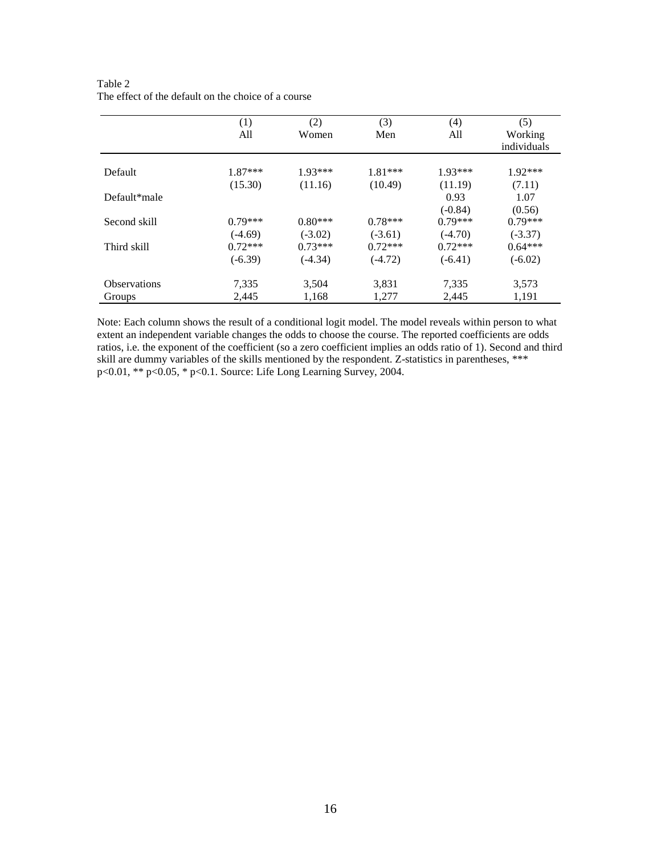|                     | (1)       | (2)       | (3)       | (4)       | (5)         |
|---------------------|-----------|-----------|-----------|-----------|-------------|
|                     | All       | Women     | Men       | All       | Working     |
|                     |           |           |           |           | individuals |
|                     |           |           |           |           |             |
| Default             | $1.87***$ | $1.93***$ | $1.81***$ | $1.93***$ | $1.92***$   |
|                     | (15.30)   | (11.16)   | (10.49)   | (11.19)   | (7.11)      |
| Default*male        |           |           |           | 0.93      | 1.07        |
|                     |           |           |           | $(-0.84)$ | (0.56)      |
| Second skill        | $0.79***$ | $0.80***$ | $0.78***$ | $0.79***$ | $0.79***$   |
|                     | $(-4.69)$ | $(-3.02)$ | $(-3.61)$ | $(-4.70)$ | $(-3.37)$   |
| Third skill         | $0.72***$ | $0.73***$ | $0.72***$ | $0.72***$ | $0.64***$   |
|                     | $(-6.39)$ | $(-4.34)$ | $(-4.72)$ | $(-6.41)$ | $(-6.02)$   |
| <b>Observations</b> | 7,335     | 3,504     | 3,831     | 7,335     | 3,573       |
| Groups              | 2,445     | 1,168     | 1,277     | 2,445     | 1,191       |

Table 2 The effect of the default on the choice of a course

Note: Each column shows the result of a conditional logit model. The model reveals within person to what extent an independent variable changes the odds to choose the course. The reported coefficients are odds ratios, i.e. the exponent of the coefficient (so a zero coefficient implies an odds ratio of 1). Second and third skill are dummy variables of the skills mentioned by the respondent. Z-statistics in parentheses, \*\*\* p<0.01, \*\* p<0.05, \* p<0.1. Source: Life Long Learning Survey, 2004.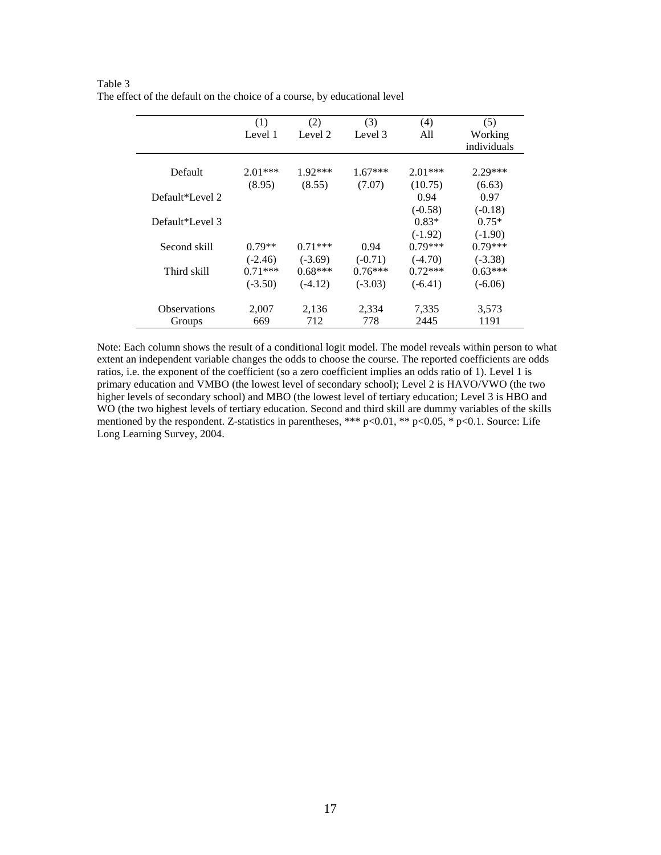|                     | (1)       | (2)       | (3)       | (4)       | (5)                    |
|---------------------|-----------|-----------|-----------|-----------|------------------------|
|                     | Level 1   | Level 2   | Level 3   | A11       | Working<br>individuals |
| Default             | $2.01***$ | $1.92***$ | $1.67***$ | $2.01***$ | $2.29***$              |
|                     | (8.95)    | (8.55)    | (7.07)    | (10.75)   | (6.63)                 |
| Default*Level 2     |           |           |           | 0.94      | 0.97                   |
|                     |           |           |           | $(-0.58)$ | $(-0.18)$              |
| Default*Level 3     |           |           |           | $0.83*$   | $0.75*$                |
|                     |           |           |           | $(-1.92)$ | $(-1.90)$              |
| Second skill        | $0.79**$  | $0.71***$ | 0.94      | $0.79***$ | $0.79***$              |
|                     | $(-2.46)$ | $(-3.69)$ | $(-0.71)$ | $(-4.70)$ | $(-3.38)$              |
| Third skill         | $0.71***$ | $0.68***$ | $0.76***$ | $0.72***$ | $0.63***$              |
|                     | $(-3.50)$ | $(-4.12)$ | $(-3.03)$ | $(-6.41)$ | $(-6.06)$              |
| <b>Observations</b> | 2,007     | 2,136     | 2,334     | 7,335     | 3,573                  |
| Groups              | 669       | 712       | 778       | 2445      | 1191                   |

Table 3 The effect of the default on the choice of a course, by educational level

Note: Each column shows the result of a conditional logit model. The model reveals within person to what extent an independent variable changes the odds to choose the course. The reported coefficients are odds ratios, i.e. the exponent of the coefficient (so a zero coefficient implies an odds ratio of 1). Level 1 is primary education and VMBO (the lowest level of secondary school); Level 2 is HAVO/VWO (the two higher levels of secondary school) and MBO (the lowest level of tertiary education; Level 3 is HBO and WO (the two highest levels of tertiary education. Second and third skill are dummy variables of the skills mentioned by the respondent. Z-statistics in parentheses, \*\*\* p<0.01, \*\* p<0.05, \* p<0.1. Source: Life Long Learning Survey, 2004.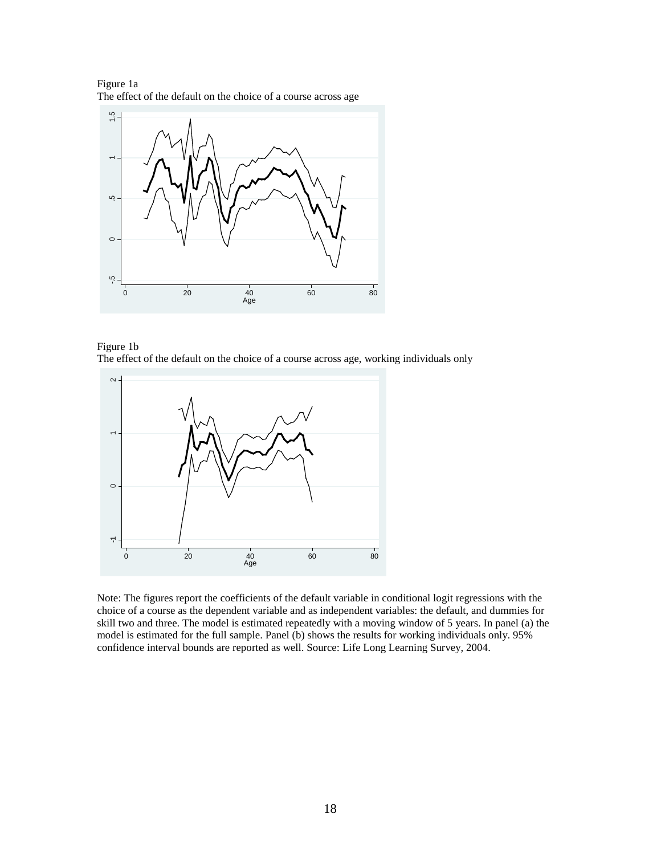Figure 1a The effect of the default on the choice of a course across age







Note: The figures report the coefficients of the default variable in conditional logit regressions with the choice of a course as the dependent variable and as independent variables: the default, and dummies for skill two and three. The model is estimated repeatedly with a moving window of 5 years. In panel (a) the model is estimated for the full sample. Panel (b) shows the results for working individuals only. 95% confidence interval bounds are reported as well. Source: Life Long Learning Survey, 2004.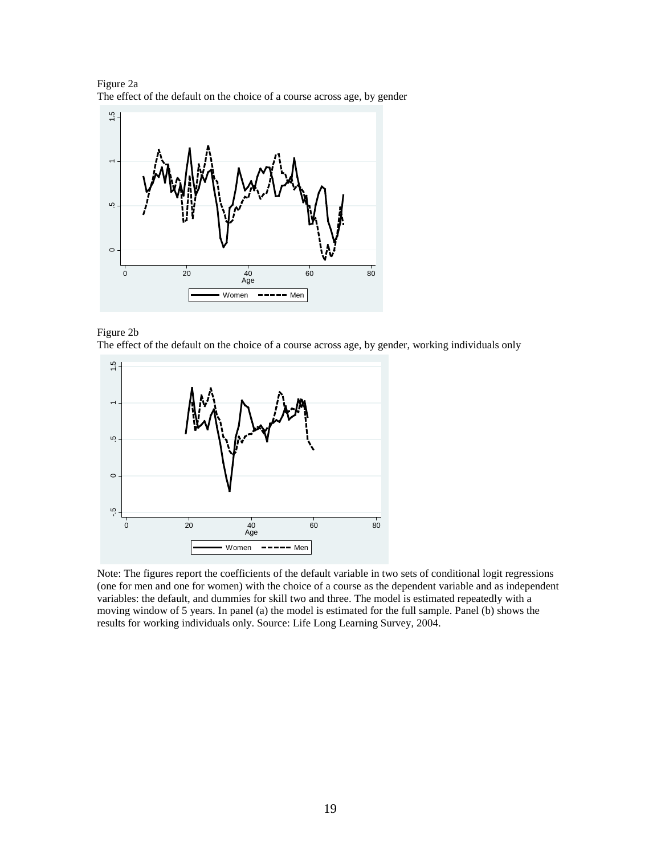Figure 2a The effect of the default on the choice of a course across age, by gender







Note: The figures report the coefficients of the default variable in two sets of conditional logit regressions (one for men and one for women) with the choice of a course as the dependent variable and as independent variables: the default, and dummies for skill two and three. The model is estimated repeatedly with a moving window of 5 years. In panel (a) the model is estimated for the full sample. Panel (b) shows the results for working individuals only. Source: Life Long Learning Survey, 2004.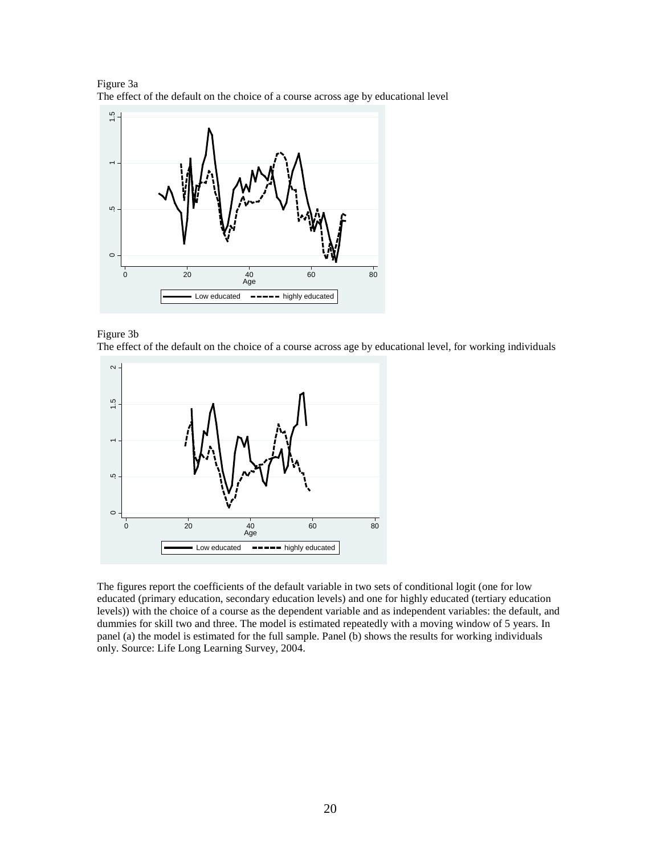Figure 3a The effect of the default on the choice of a course across age by educational level







The figures report the coefficients of the default variable in two sets of conditional logit (one for low educated (primary education, secondary education levels) and one for highly educated (tertiary education levels)) with the choice of a course as the dependent variable and as independent variables: the default, and dummies for skill two and three. The model is estimated repeatedly with a moving window of 5 years. In panel (a) the model is estimated for the full sample. Panel (b) shows the results for working individuals only. Source: Life Long Learning Survey, 2004.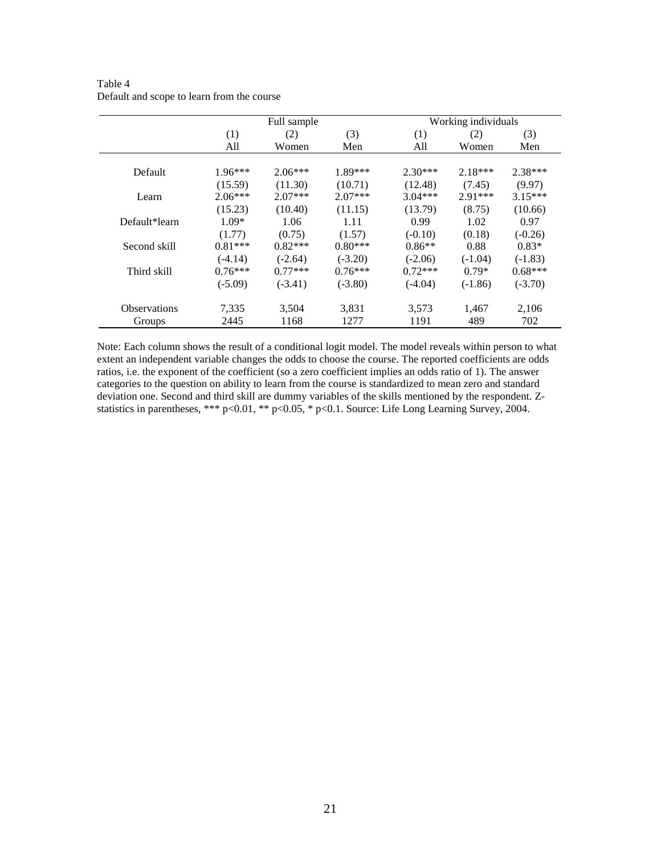|                     |           | Full sample |           | Working individuals |           |           |  |
|---------------------|-----------|-------------|-----------|---------------------|-----------|-----------|--|
|                     | (1)       | (2)         | (3)       | (1)                 | (2)       | (3)       |  |
|                     | All       | Women       | Men       | All                 | Women     | Men       |  |
| Default             | $1.96***$ | $2.06***$   | 1.89***   | $2.30***$           | $2.18***$ | $2.38***$ |  |
|                     | (15.59)   | (11.30)     | (10.71)   | (12.48)             | (7.45)    | (9.97)    |  |
| Learn               | $2.06***$ | $2.07***$   | $2.07***$ | $3.04***$           | $2.91***$ | $3.15***$ |  |
|                     | (15.23)   | (10.40)     | (11.15)   | (13.79)             | (8.75)    | (10.66)   |  |
| Default*learn       | $1.09*$   | 1.06        | 1.11      | 0.99                | 1.02      | 0.97      |  |
|                     | (1.77)    | (0.75)      | (1.57)    | $(-0.10)$           | (0.18)    | $(-0.26)$ |  |
| Second skill        | $0.81***$ | $0.82***$   | $0.80***$ | $0.86**$            | 0.88      | $0.83*$   |  |
|                     | $(-4.14)$ | $(-2.64)$   | $(-3.20)$ | $(-2.06)$           | $(-1.04)$ | $(-1.83)$ |  |
| Third skill         | $0.76***$ | $0.77***$   | $0.76***$ | $0.72***$           | $0.79*$   | $0.68***$ |  |
|                     | $(-5.09)$ | $(-3.41)$   | $(-3.80)$ | $(-4.04)$           | $(-1.86)$ | $(-3.70)$ |  |
| <b>Observations</b> | 7,335     | 3,504       | 3.831     | 3,573               | 1.467     | 2,106     |  |
| Groups              | 2445      | 1168        | 1277      | 1191                | 489       | 702       |  |

Table 4 Default and scope to learn from the course

Note: Each column shows the result of a conditional logit model. The model reveals within person to what extent an independent variable changes the odds to choose the course. The reported coefficients are odds ratios, i.e. the exponent of the coefficient (so a zero coefficient implies an odds ratio of 1). The answer categories to the question on ability to learn from the course is standardized to mean zero and standard deviation one. Second and third skill are dummy variables of the skills mentioned by the respondent. Zstatistics in parentheses, \*\*\* p<0.01, \*\* p<0.05, \* p<0.1. Source: Life Long Learning Survey, 2004.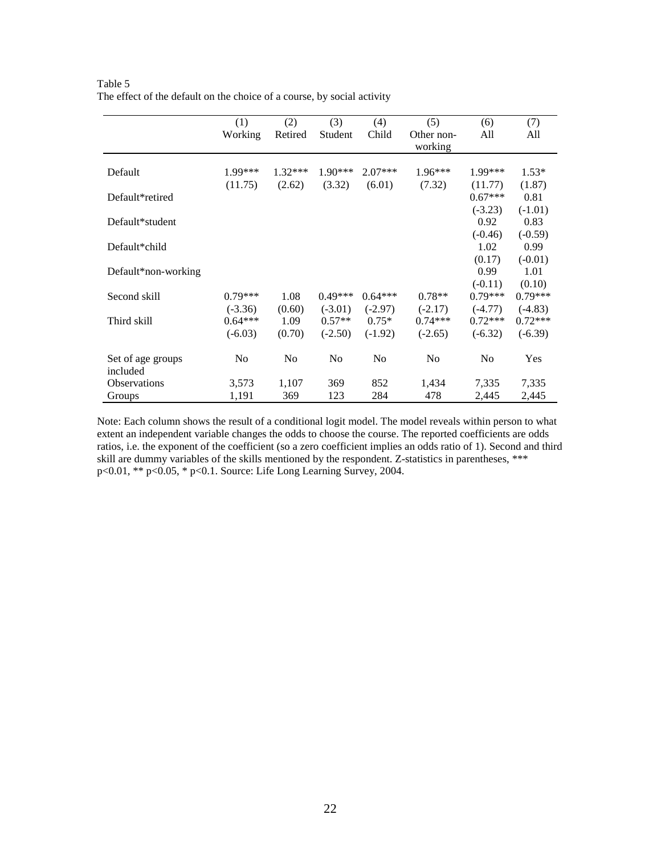|                               | (1)<br>Working | (2)<br>Retired | (3)<br>Student | (4)<br>Child   | (5)<br>Other non-<br>working | (6)<br>All     | (7)<br>All |
|-------------------------------|----------------|----------------|----------------|----------------|------------------------------|----------------|------------|
| Default                       | 1.99***        | $1.32***$      | $1.90***$      | $2.07***$      | $1.96***$                    | 1.99***        | $1.53*$    |
|                               | (11.75)        | (2.62)         | (3.32)         | (6.01)         | (7.32)                       | (11.77)        | (1.87)     |
| Default*retired               |                |                |                |                |                              | $0.67***$      | 0.81       |
|                               |                |                |                |                |                              | $(-3.23)$      | $(-1.01)$  |
| Default*student               |                |                |                |                |                              | 0.92           | 0.83       |
|                               |                |                |                |                |                              | $(-0.46)$      | $(-0.59)$  |
| Default*child                 |                |                |                |                |                              | 1.02           | 0.99       |
|                               |                |                |                |                |                              | (0.17)         | $(-0.01)$  |
| Default*non-working           |                |                |                |                |                              | 0.99           | 1.01       |
|                               |                |                |                |                |                              | $(-0.11)$      | (0.10)     |
| Second skill                  | $0.79***$      | 1.08           | $0.49***$      | $0.64***$      | $0.78**$                     | $0.79***$      | $0.79***$  |
|                               | $(-3.36)$      | (0.60)         | $(-3.01)$      | $(-2.97)$      | $(-2.17)$                    | $(-4.77)$      | $(-4.83)$  |
| Third skill                   | $0.64***$      | 1.09           | $0.57**$       | $0.75*$        | $0.74***$                    | $0.72***$      | $0.72***$  |
|                               | $(-6.03)$      | (0.70)         | $(-2.50)$      | $(-1.92)$      | $(-2.65)$                    | $(-6.32)$      | $(-6.39)$  |
| Set of age groups<br>included | N <sub>0</sub> | No             | N <sub>0</sub> | N <sub>0</sub> | N <sub>0</sub>               | N <sub>0</sub> | Yes        |
| <b>Observations</b>           | 3,573          | 1,107          | 369            | 852            | 1,434                        | 7,335          | 7,335      |
| Groups                        | 1,191          | 369            | 123            | 284            | 478                          | 2,445          | 2,445      |

Table 5 The effect of the default on the choice of a course, by social activity

Note: Each column shows the result of a conditional logit model. The model reveals within person to what extent an independent variable changes the odds to choose the course. The reported coefficients are odds ratios, i.e. the exponent of the coefficient (so a zero coefficient implies an odds ratio of 1). Second and third skill are dummy variables of the skills mentioned by the respondent. Z-statistics in parentheses, \*\*\* p<0.01, \*\* p<0.05, \* p<0.1. Source: Life Long Learning Survey, 2004.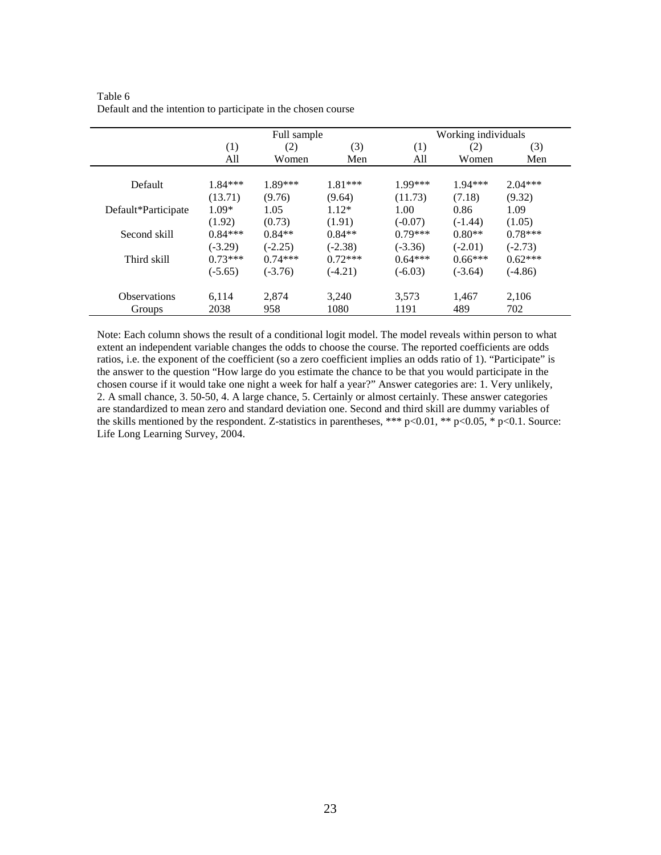|                     | Full sample |           |           | Working individuals |           |           |  |
|---------------------|-------------|-----------|-----------|---------------------|-----------|-----------|--|
|                     | (1)         | (2)       | (3)       | (1)                 | (2)       | (3)       |  |
|                     | All         | Women     | Men       | All                 | Women     | Men       |  |
| Default             | $1.84***$   | $1.89***$ | $1.81***$ | $1.99***$           | $1.94***$ | $2.04***$ |  |
|                     | (13.71)     | (9.76)    | (9.64)    | (11.73)             | (7.18)    | (9.32)    |  |
| Default*Participate | $1.09*$     | 1.05      | $1.12*$   | 1.00                | 0.86      | 1.09      |  |
|                     | (1.92)      | (0.73)    | (1.91)    | $(-0.07)$           | $(-1.44)$ | (1.05)    |  |
| Second skill        | $0.84***$   | $0.84**$  | $0.84**$  | $0.79***$           | $0.80**$  | $0.78***$ |  |
|                     | $(-3.29)$   | $(-2.25)$ | $(-2.38)$ | $(-3.36)$           | $(-2.01)$ | $(-2.73)$ |  |
| Third skill         | $0.73***$   | $0.74***$ | $0.72***$ | $0.64***$           | $0.66***$ | $0.62***$ |  |
|                     | $(-5.65)$   | $(-3.76)$ | $(-4.21)$ | $(-6.03)$           | $(-3.64)$ | $(-4.86)$ |  |
| <b>Observations</b> | 6,114       | 2,874     | 3,240     | 3,573               | 1,467     | 2,106     |  |
| Groups              | 2038        | 958       | 1080      | 1191                | 489       | 702       |  |

Table 6 Default and the intention to participate in the chosen course

Note: Each column shows the result of a conditional logit model. The model reveals within person to what extent an independent variable changes the odds to choose the course. The reported coefficients are odds ratios, i.e. the exponent of the coefficient (so a zero coefficient implies an odds ratio of 1). "Participate" is the answer to the question "How large do you estimate the chance to be that you would participate in the chosen course if it would take one night a week for half a year?" Answer categories are: 1. Very unlikely, 2. A small chance, 3. 50-50, 4. A large chance, 5. Certainly or almost certainly. These answer categories are standardized to mean zero and standard deviation one. Second and third skill are dummy variables of the skills mentioned by the respondent. Z-statistics in parentheses, \*\*\* p<0.01, \*\* p<0.05, \* p<0.1. Source: Life Long Learning Survey, 2004.